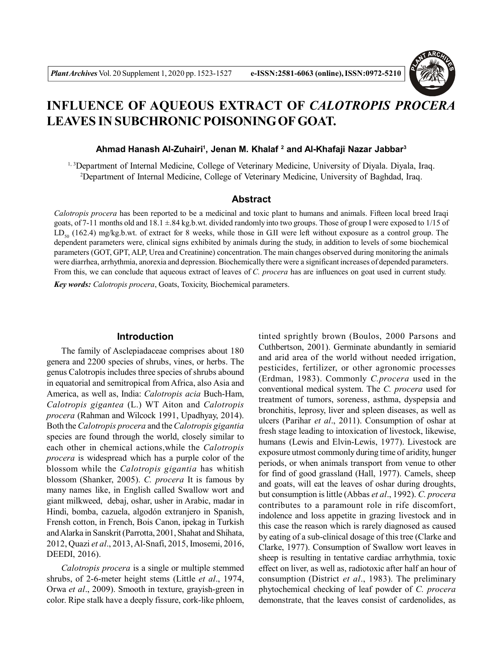

# **INFLUENCE OF AQUEOUS EXTRACT OF** *CALOTROPIS PROCERA* **LEAVES IN SUBCHRONIC POISONING OF GOAT.**

## **Ahmad Hanash Al-Zuhairi<sup>1</sup> , Jenan M. Khalaf <sup>2</sup> and Al-Khafaji Nazar Jabbar<sup>3</sup>**

1, 3Department of Internal Medicine, College of Veterinary Medicine, University of Diyala. Diyala, Iraq. <sup>2</sup>Department of Internal Medicine, College of Veterinary Medicine, University of Baghdad, Iraq.

# **Abstract**

*Calotropis procera* has been reported to be a medicinal and toxic plant to humans and animals. Fifteen local breed Iraqi goats, of 7-11 months old and  $18.1 \pm 84$  kg,b.wt. divided randomly into two groups. Those of group I were exposed to  $1/15$  of  $LD<sub>50</sub>$  (162.4) mg/kg.b.wt. of extract for 8 weeks, while those in GII were left without exposure as a control group. The dependent parameters were, clinical signs exhibited by animals during the study, in addition to levels of some biochemical parameters (GOT, GPT, ALP, Urea and Creatinine) concentration. The main changes observed during monitoring the animals were diarrhea, arrhythmia, anorexia and depression. Biochemically there were a significant increases of depended parameters. From this, we can conclude that aqueous extract of leaves of *C. procera* has are influences on goat used in current study. *Key words: Calotropis procera*, Goats, Toxicity, Biochemical parameters.

## **Introduction**

The family of Asclepiadaceae comprises about 180 genera and 2200 species of shrubs, vines, or herbs. The genus Calotropis includes three species of shrubs abound in equatorial and semitropical from Africa, also Asia and America, as well as, India: *Calotropis acia* Buch-Ham, *Calotropis gigantea* (L.) WT Aiton and *Calotropis procera* (Rahman and Wilcock 1991, Upadhyay, 2014). Both the *Calotropis procera* and the *Calotropis gigantia* species are found through the world, closely similar to each other in chemical actions,while the *Calotropis procera* is widespread which has a purple color of the blossom while the *Calotropis gigantia* has whitish blossom (Shanker, 2005). *C. procera* It is famous by many names like, in English called Swallow wort and giant milkweed, debaj, oshar, usher in Arabic, madar in Hindi, bomba, cazuela, algodón extranjero in Spanish, Frensh cotton, in French, Bois Canon, ipekag in Turkish and Alarka in Sanskrit (Parrotta, 2001, Shahat and Shihata, 2012, Quazi *et al*., 2013, Al-Snafi, 2015, Imosemi, 2016, DEEDI, 2016).

*Calotropis procera* is a single or multiple stemmed shrubs, of 2-6-meter height stems (Little *et al*., 1974, Orwa *et al*., 2009). Smooth in texture, grayish-green in color. Ripe stalk have a deeply fissure, cork-like phloem,

tinted sprightly brown (Boulos, 2000 Parsons and Cuthbertson, 2001). Germinate abundantly in semiarid and arid area of the world without needed irrigation, pesticides, fertilizer, or other agronomic processes (Erdman, 1983). Commonly *C.procera* used in the conventional medical system. The *C. procera* used for treatment of tumors, soreness, asthma, dyspepsia and bronchitis, leprosy, liver and spleen diseases, as well as ulcers (Parihar *et al*., 2011). Consumption of oshar at fresh stage leading to intoxication of livestock, likewise, humans (Lewis and Elvin-Lewis, 1977). Livestock are exposure utmost commonly during time of aridity, hunger periods, or when animals transport from venue to other for find of good grassland (Hall, 1977). Camels, sheep and goats, will eat the leaves of oshar during droughts, but consumption is little (Abbas *et al*., 1992). *C. procera* contributes to a paramount role in rife discomfort, indolence and loss appetite in grazing livestock and in this case the reason which is rarely diagnosed as caused by eating of a sub-clinical dosage of this tree (Clarke and Clarke, 1977). Consumption of Swallow wort leaves in sheep is resulting in tentative cardiac arrhythmia, toxic effect on liver, as well as, radiotoxic after half an hour of consumption (District *et al*., 1983). The preliminary phytochemical checking of leaf powder of *C. procera* demonstrate, that the leaves consist of cardenolides, as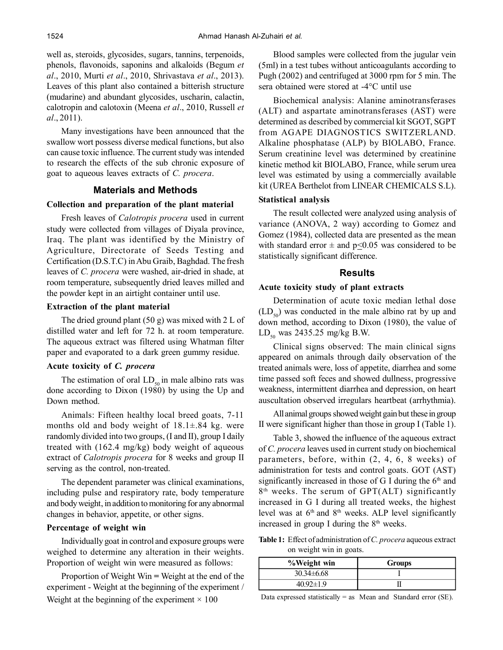well as, steroids, glycosides, sugars, tannins, terpenoids, phenols, flavonoids, saponins and alkaloids (Begum *et al*., 2010, Murti *et al*., 2010, Shrivastava *et al*., 2013). Leaves of this plant also contained a bitterish structure (mudarine) and abundant glycosides, uscharin, calactin, calotropin and calotoxin (Meena *et al*., 2010, Russell *et al*., 2011).

Many investigations have been announced that the swallow wort possess diverse medical functions, but also can cause toxic influence. The current study was intended to research the effects of the sub chronic exposure of goat to aqueous leaves extracts of *C. procera*.

## **Materials and Methods**

#### **Collection and preparation of the plant material**

Fresh leaves of *Calotropis procera* used in current study were collected from villages of Diyala province, Iraq. The plant was identified by the Ministry of Agriculture, Directorate of Seeds Testing and Certification (D.S.T.C) in Abu Graib, Baghdad. The fresh leaves of *C. procera* were washed, air-dried in shade, at room temperature, subsequently dried leaves milled and the powder kept in an airtight container until use.

## **Extraction of the plant material**

The dried ground plant (50 g) was mixed with 2 L of distilled water and left for 72 h. at room temperature. The aqueous extract was filtered using Whatman filter paper and evaporated to a dark green gummy residue.

#### **Acute toxicity of** *C. procera*

The estimation of oral  $LD_{50}$  in male albino rats was done according to Dixon (1980) by using the Up and Down method.

Animals: Fifteen healthy local breed goats, 7-11 months old and body weight of  $18.1 \pm .84$  kg. were randomly divided into two groups, (I and II), group I daily treated with (162.4 mg/kg) body weight of aqueous extract of *Calotropis procera* for 8 weeks and group II serving as the control, non-treated.

The dependent parameter was clinical examinations, including pulse and respiratory rate, body temperature and body weight, in addition to monitoring for any abnormal changes in behavior, appetite, or other signs.

# **Percentage of weight win**

Individually goat in control and exposure groups were weighed to determine any alteration in their weights. Proportion of weight win were measured as follows:

Proportion of Weight Win **=** Weight at the end of the experiment - Weight at the beginning of the experiment / Weight at the beginning of the experiment  $\times$  100

Blood samples were collected from the jugular vein (5ml) in a test tubes without anticoagulants according to Pugh (2002) and centrifuged at 3000 rpm for 5 min. The sera obtained were stored at -4°C until use

Biochemical analysis: Alanine aminotransferases (ALT) and aspartate aminotransferases (AST) were determined as described by commercial kit SGOT, SGPT from AGAPE DIAGNOSTICS SWITZERLAND. Alkaline phosphatase (ALP) by BIOLABO, France. Serum creatinine level was determined by creatinine kinetic method kit BIOLABO, France, while serum urea level was estimated by using a commercially available kit (UREA Berthelot from LINEAR CHEMICALS S.L).

#### **Statistical analysis**

The result collected were analyzed using analysis of variance (ANOVA, 2 way) according to Gomez and Gomez (1984), collected data are presented as the mean with standard error  $\pm$  and p $\leq$ 0.05 was considered to be statistically significant difference.

## **Results**

#### **Acute toxicity study of plant extracts**

Determination of acute toxic median lethal dose  $(LD<sub>50</sub>)$  was conducted in the male albino rat by up and down method, according to Dixon (1980), the value of  $LD_{50}$  was 2435.25 mg/kg B.W.

Clinical signs observed: The main clinical signs appeared on animals through daily observation of the treated animals were, loss of appetite, diarrhea and some time passed soft feces and showed dullness, progressive weakness, intermittent diarrhea and depression, on heart auscultation observed irregulars heartbeat (arrhythmia).

All animal groups showed weight gain but these in group II were significant higher than those in group I (Table 1).

Table 3, showed the influence of the aqueous extract of *C. procera* leaves used in current study on biochemical parameters, before, within (2, 4, 6, 8 weeks) of administration for tests and control goats. GOT (AST) significantly increased in those of G I during the  $6<sup>th</sup>$  and 8 th weeks. The serum of GPT(ALT) significantly increased in G I during all treated weeks, the highest level was at  $6<sup>th</sup>$  and  $8<sup>th</sup>$  weeks. ALP level significantly increased in group I during the  $8<sup>th</sup>$  weeks.

**Table 1:** Effect of administration of *C. procera* aqueous extract on weight win in goats.

| %Weight win    | <b>Groups</b> |  |  |
|----------------|---------------|--|--|
| $30.34\pm6.68$ |               |  |  |
| 40.92±1.9      |               |  |  |

Data expressed statistically = as Mean and Standard error  $(SE)$ .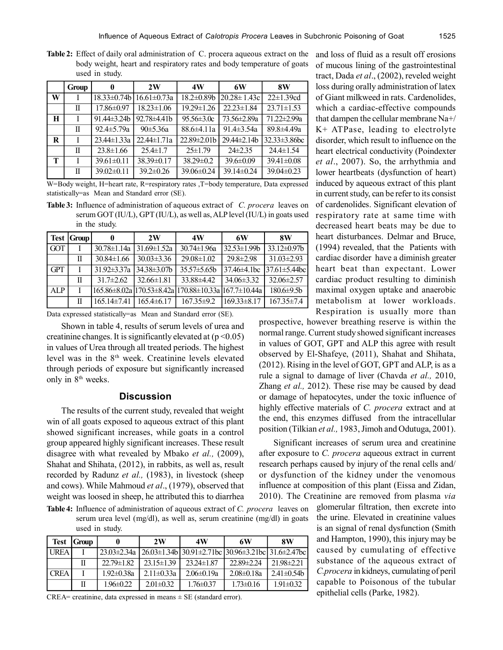**Table 2:** Effect of daily oral administration of C. procera aqueous extract on the body weight, heart and respiratory rates and body temperature of goats used in study.

|   | Group | 0                  | 2W                | 4W                | 6W                | 8W                  |
|---|-------|--------------------|-------------------|-------------------|-------------------|---------------------|
| W |       | $18.33 \pm 0.74 b$ | $16.61 \pm 0.73a$ | $18.2 \pm 0.89$ b | $20.28 \pm 1.43c$ | $22 \pm 1.39$ cd    |
|   | П     | $17.86 \pm 0.97$   | $18.23 \pm 1.06$  | $19.29 \pm 1.26$  | $22.23 \pm 1.84$  | $23.71 \pm 1.53$    |
| Н |       | $91.44\pm3.24b$    | 92.78±4.41b       | $95.56 \pm 3.0c$  | 73.56±2.89a       | 71.22±2.99a         |
|   | П     | $92.4 \pm 5.79a$   | $90 \pm 5.36a$    | $88.6\pm4.11a$    | 91.4 $\pm$ 3.54a  | $89.8{\pm}4.49a$    |
| R |       | $23.44 \pm 1.33a$  | $22.44 \pm 1.71a$ | $22.89 \pm 2.01$  | $29.44 \pm 2.14b$ | $32.33 \pm 3.86$ bc |
|   | П     | $23.8 \pm 1.66$    | $25.4 \pm 1.7$    | $25 \pm 1.79$     | $24\pm 2.35$      | $24.4 \pm 1.54$     |
| т |       | $39.61 \pm 0.11$   | $38.39 \pm 0.17$  | $38.29 \pm 0.2$   | $39.6 \pm 0.09$   | $39.41 \pm 0.08$    |
|   | П     | $39.02 \pm 0.11$   | $39.2 \pm 0.26$   | $39.06 \pm 0.24$  | $39.14 \pm 0.24$  | $39.04 \pm 0.23$    |

W=Body weight, H=heart rate, R=respiratory rates ,T=body temperature, Data expressed statistically=as Mean and Standard error (SE).

**Table 3:** Influence of administration of aqueous extract of *C. procera* leaves on serum GOT (IU/L), GPT (IU/L), as well as, ALP level (IU/L) in goats used in the study.

|            | Test   Group | 0                 | 2W                 | 4W                                                    | 6W                 | 8W                   |
|------------|--------------|-------------------|--------------------|-------------------------------------------------------|--------------------|----------------------|
| GOT        |              | $30.78 \pm 1.14a$ | $131.69 \pm 1.52a$ | $30.74 \pm 1.96a$                                     | $32.53 \pm 1.99$   | $33.12\pm0.97b$      |
|            | Π            | $30.84 \pm 1.66$  | $30.03 \pm 3.36$   | $29.08 \pm 1.02$                                      | $29.8 \pm 2.98$    | $31.03 \pm 2.93$     |
| <b>GPT</b> |              | $31.92 \pm 3.37a$ | $134.38\pm3.07h$   | $35.57\pm5.65h$                                       | $37.46 \pm 4.1$ bc | $137.61 \pm 5.44$ bc |
|            | Π            | $31.7 \pm 2.62$   | $32.66\pm1.81$     | 33.88±4.42                                            | $34.06\pm3.32$     | $32.06 \pm 2.57$     |
| ALP        |              |                   |                    | 165.86±8.02a 170.53±8.42a 170.88±10.33a 1167.7±10.44a |                    | $180.6 \pm 9.5b$     |
|            | Π            | $165.14\pm7.41$   | $165.4\pm 6.17$    | $167.35\pm9.2$                                        | $169.33 \pm 8.17$  | $167.35 \pm 7.4$     |

Data expressed statistically=as Mean and Standard error (SE).

Shown in table 4, results of serum levels of urea and creatinine changes. It is significantly elevated at  $(p<0.05)$ in values of Urea through all treated periods. The highest level was in the 8th week. Creatinine levels elevated through periods of exposure but significantly increased only in 8<sup>th</sup> weeks.

# **Discussion**

The results of the current study, revealed that weight win of all goats exposed to aqueous extract of this plant showed significant increases, while goats in a control group appeared highly significant increases. These result disagree with what revealed by Mbako *et al.,* (2009), Shahat and Shihata, (2012), in rabbits, as well as, result recorded by Radunz *et al.,* (1983), in livestock (sheep and cows). While Mahmoud *et al*., (1979), observed that weight was loosed in sheep, he attributed this to diarrhea

**Table 4:** Influence of administration of aqueous extract of *C. procera* leaves on serum urea level (mg/dl), as well as, serum creatinine (mg/dl) in goats used in study.

|             | <b>Test Group</b> |                   | 2W               | 4W                                                                   | 6W                | 8W              |
|-------------|-------------------|-------------------|------------------|----------------------------------------------------------------------|-------------------|-----------------|
| <b>TREA</b> |                   | $23.03 \pm 2.34a$ |                  | $26.03\pm1.34b$ 30.91 $\pm2.71bc$ 30.96 $\pm3.21bc$ 31.6 $\pm2.47bc$ |                   |                 |
|             |                   | $22.79\pm1.82$    | $2315\pm139$     | $23.24 \pm 1.87$                                                     | $22.89 \pm 2.24$  | $2198\pm221$    |
| <b>CREA</b> |                   | $1.92 \pm 0.38a$  | $2.11 \pm 0.33a$ | $2.06 \pm 0.19$ a                                                    | $2.08 \pm 0.18$ a | $2.41 \pm 0.54$ |
|             |                   | $1.96 \pm 0.22$   | $2.01 \pm 0.32$  | $1.76\pm0.37$                                                        | $1.73 \pm 0.16$   | $1.91 \pm 0.32$ |

CREA= creatinine, data expressed in means  $\pm$  SE (standard error).

and loss of fluid as a result off erosions of mucous lining of the gastrointestinal tract, Dada *et al*., (2002), reveled weight loss during orally administration of latex of Giant milkweed in rats. Cardenolides, which a cardiac-effective compounds that dampen the cellular membrane Na+/ K+ ATPase, leading to electrolyte disorder, which result to influence on the heart electrical conductivity (Poindexter *et al*., 2007). So, the arrhythmia and lower heartbeats (dysfunction of heart) induced by aqueous extract of this plant in current study, can be refer to its consist of cardenolides. Significant elevation of respiratory rate at same time with decreased heart beats may be due to heart disturbances. Delmar and Bruce, (1994) revealed, that the Patients with cardiac disorder have a diminish greater heart beat than expectant. Lower cardiac product resulting to diminish maximal oxygen uptake and anaerobic metabolism at lower workloads. Respiration is usually more than

prospective, however breathing reserve is within the normal range. Current study showed significant increases in values of GOT, GPT and ALP this agree with result observed by El-Shafeye, (2011), Shahat and Shihata, (2012). Rising in the level of GOT, GPT and ALP, is as a rule a signal to damage of liver (Chavda *et al.,* 2010, Zhang *et al.,* 2012). These rise may be caused by dead or damage of hepatocytes, under the toxic influence of highly effective materials of *C. procera* extract and at the end, this enzymes diffused from the intracellular position (Tilkian *et al.,* 1983, Jimoh and Odutuga, 2001).

Significant increases of serum urea and creatinine after exposure to *C. procera* aqueous extract in current research perhaps caused by injury of the renal cells and/ or dysfunction of the kidney under the venomous influence at composition of this plant (Eissa and Zidan, 2010). The Creatinine are removed from plasma *via*

> glomerular filtration, then excrete into the urine. Elevated in creatinine values is an signal of renal dysfunction (Smith and Hampton, 1990), this injury may be caused by cumulating of effective substance of the aqueous extract of *C.procera* in kidneys, cumulating of peril capable to Poisonous of the tubular epithelial cells (Parke, 1982).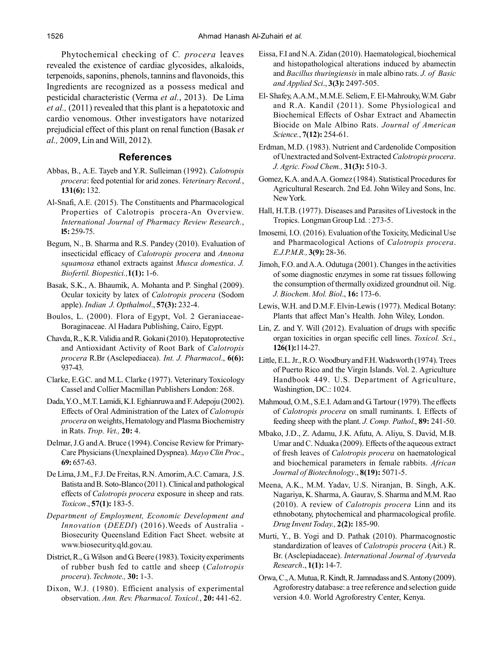Phytochemical checking of *C. procera* leaves revealed the existence of cardiac glycosides, alkaloids, terpenoids, saponins, phenols, tannins and flavonoids, this Ingredients are recognized as a possess medical and pesticidal characteristic (Verma *et al.*, 2013). De Lima *et al.,* (2011) revealed that this plant is a hepatotoxic and cardio venomous. Other investigators have notarized prejudicial effect of this plant on renal function (Basak *et al.,* 2009, Lin and Will, 2012).

# **References**

- Abbas, B., A.E. Tayeb and Y.R. Sulleiman (1992). *Calotropis procera*: feed potential for arid zones. *Veterinary Record.*, **131(6):** 132.
- Al-Snafi, A.E. (2015). The Constituents and Pharmacological Properties of Calotropis procera-An Overview. *International Journal of Pharmacy Review Research.*, **l5:** 259-75.
- Begum, N., B. Sharma and R.S. Pandey (2010). Evaluation of insecticidal efficacy of *Calotropis procera* and *Annona squamosa* ethanol extracts against *Musca domestica*. *J. Biofertil. Biopestici.,***1(1):** 1-6.
- Basak, S.K., A. Bhaumik, A. Mohanta and P. Singhal (2009). Ocular toxicity by latex of *Calotropis procera* (Sodom apple). *Indian J. Opthalmol*., **57(3):** 232-4.
- Boulos, L. (2000). Flora of Egypt, Vol. 2 Geraniaceae-Boraginaceae. Al Hadara Publishing, Cairo, Egypt.
- Chavda, R., K.R. Validia and R. Gokani (2010). Hepatoprotective and Antioxidant Activity of Root Bark of *Calotropis procera* R.Br (Asclepediacea). *Int. J. Pharmacol*., **6(6):** 937-43.
- Clarke, E.G.C. and M.L. Clarke (1977). Veterinary Toxicology Cassel and Collier Macmillan Publishers London: 268.
- Dada, Y.O., M.T. Lamidi, K.I. Eghianruwa and F. Adepoju (2002). Effects of Oral Administration of the Latex of *Calotropis procera* on weights, Hematology and Plasma Biochemistry in Rats. *Trop. Vet.,* **20:** 4.
- Delmar, J.G and A. Bruce (1994). Concise Review for Primary-Care Physicians(Unexplained Dyspnea). *Mayo Clin Proc*., **69:** 657-63.
- De Lima, J.M., F.J. De Freitas, R.N. Amorim, A.C. Camara, J.S. Batista and B. Soto-Blanco (2011). Clinical and pathological effects of *Calotropis procera* exposure in sheep and rats. *Toxicon*., **57(1):** 183-5.
- *Department of Employment, Economic Development and Innovation* (*DEEDI*) (2016).Weeds of Australia - Biosecurity Queensland Edition Fact Sheet. website at www.biosecurity.qld.gov.au.
- District, R., G. Wilson and G. Beere (1983). Toxicity experiments of rubber bush fed to cattle and sheep (*Calotropis procera*). *Technote.,* **30:** 1-3.
- Dixon, W.J. (1980). Efficient analysis of experimental observation. *Ann. Rev. Pharmacol. Toxicol.*, **20:** 441-62.
- Eissa, F.I and N.A. Zidan (2010). Haematological, biochemical and histopathological alterations induced by abamectin and *Bacillus thuringiensis* in male albino rats. *J. of Basic and Applied Sci*., **3(3):** 2497-505.
- El- Shafey, A.A.M., M.M.E. Seliem, F. El-Mahrouky, W.M. Gabr and R.A. Kandil (2011). Some Physiological and Biochemical Effects of Oshar Extract and Abamectin Biocide on Male Albino Rats. *Journal of American Science.*, **7(12):** 254-61.
- Erdman, M.D. (1983). Nutrient and Cardenolide Composition of Unextracted and Solvent-Extracted *Calotropis procera*. *J. Agric. Food Chem.,* **31(3):** 510-3.
- Gomez, K.A. and A.A. Gomez (1984). Statistical Procedures for Agricultural Research. 2nd Ed. John Wiley and Sons, Inc. New York.
- Hall, H.T.B. (1977). Diseases and Parasites of Livestock in the Tropics. Longman Group Ltd. : 273-5.
- Imosemi*,* I.O. (2016). Evaluation of the Toxicity, Medicinal Use and Pharmacological Actions of *Calotropis procera*. *E.J.P.M.R.,* **3(9):** 28-36.
- Jimoh, F.O. and A.A. Odutuga (2001). Changes in the activities of some diagnostic enzymes in some rat tissues following the consumption of thermally oxidized groundnut oil. Nig. *J. Biochem. Mol. Biol*., **16:** 173-6.
- Lewis, W.H. and D.M.F. Elvin-Lewis (1977). Medical Botany: Plants that affect Man's Health. John Wiley, London.
- Lin, Z. and Y. Will (2012). Evaluation of drugs with specific organ toxicities in organ specific cell lines. *Toxicol. Sci*., **126(1):**114-27.
- Little, E.L. Jr., R.O. Woodbury and F.H. Wadsworth (1974). Trees of Puerto Rico and the Virgin Islands. Vol. 2. Agriculture Handbook 449. U.S. Department of Agriculture, Washingtion, DC.: 1024.
- Mahmoud, O.M., S.E.I. Adam and G. Tartour (1979). The effects of *Calotropis procera* on small ruminants. I. Effects of feeding sheep with the plant. *J. Comp. Pathol*., **89:** 241-50.
- Mbako, J.D., Z. Adamu, J.K. Afutu, A. Aliyu, S. David, M.B. Umar and C. Nduaka (2009). Effects of the aqueous extract of fresh leaves of *Calotropis procera* on haematological and biochemical parameters in female rabbits. *African Journal of Biotechnology*., **8(19):** 5071-5.
- Meena, A.K., M.M. Yadav, U.S. Niranjan, B. Singh, A.K. Nagariya, K. Sharma, A. Gaurav, S. Sharma and M.M. Rao (2010). A review of *Calotropis procera* Linn and its ethnobotany, phytochemical and pharmacological profile. *Drug Invent Today.,* **2(2):** 185-90.
- Murti, Y., B. Yogi and D. Pathak (2010). Pharmacognostic standardization of leaves of *Calotropis procera* (Ait.) R. Br. (Asclepiadaceae). *International Journal of Ayurveda Research*., **1(1):** 14-7.
- Orwa, C., A. Mutua, R. Kindt, R. Jamnadass and S. Antony (2009). Agroforestry database: a tree reference and selection guide version 4.0. World Agroforestry Center, Kenya.